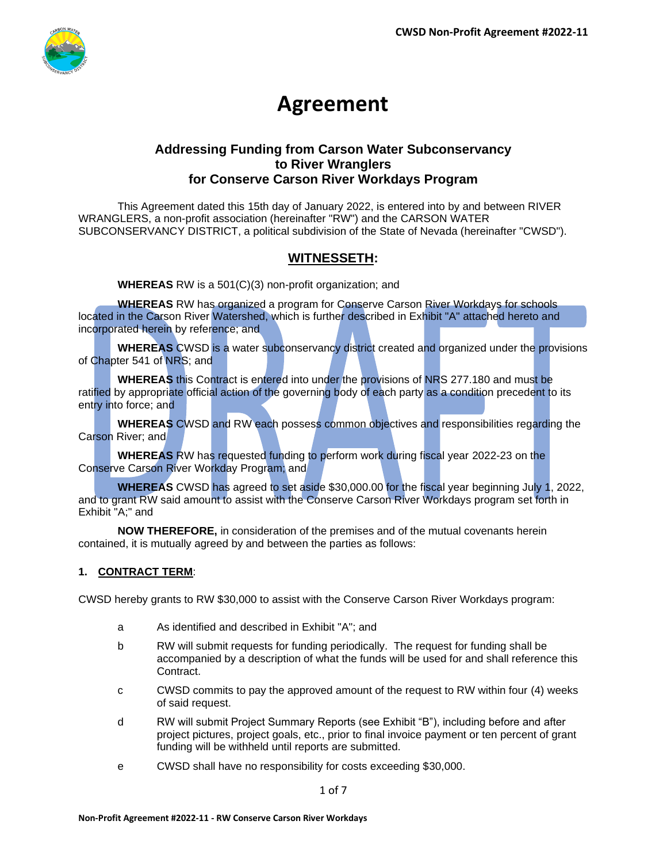

# **Agreement**

### **Addressing Funding from Carson Water Subconservancy to River Wranglers for Conserve Carson River Workdays Program**

This Agreement dated this 15th day of January 2022, is entered into by and between RIVER WRANGLERS, a non-profit association (hereinafter "RW") and the CARSON WATER SUBCONSERVANCY DISTRICT, a political subdivision of the State of Nevada (hereinafter "CWSD").

### **WITNESSETH:**

**WHEREAS** RW is a 501(C)(3) non-profit organization; and

**WHEREAS** RW has organized a program for Conserve Carson River Workdays for schools located in the Carson River Watershed, which is further described in Exhibit "A" attached hereto and incorporated herein by reference; and

**WHEREAS** CWSD is a water subconservancy district created and organized under the provisions of Chapter 541 of NRS; and

**WHEREAS** this Contract is entered into under the provisions of NRS 277.180 and must be ratified by appropriate official action of the governing body of each party as a condition precedent to its entry into force; and

**WHEREAS** CWSD and RW each possess common objectives and responsibilities regarding the Carson River; and

**WHEREAS** RW has requested funding to perform work during fiscal year 2022-23 on the Conserve Carson River Workday Program; and

**WHEREAS** CWSD has agreed to set aside \$30,000.00 for the fiscal year beginning July 1, 2022, and to grant RW said amount to assist with the Conserve Carson River Workdays program set forth in Exhibit "A;" and

**NOW THEREFORE,** in consideration of the premises and of the mutual covenants herein contained, it is mutually agreed by and between the parties as follows:

### **1. CONTRACT TERM**:

CWSD hereby grants to RW \$30,000 to assist with the Conserve Carson River Workdays program:

- a As identified and described in Exhibit "A"; and
- b RW will submit requests for funding periodically. The request for funding shall be accompanied by a description of what the funds will be used for and shall reference this Contract.
- c CWSD commits to pay the approved amount of the request to RW within four (4) weeks of said request.
- d RW will submit Project Summary Reports (see Exhibit "B"), including before and after project pictures, project goals, etc., prior to final invoice payment or ten percent of grant funding will be withheld until reports are submitted.
- e CWSD shall have no responsibility for costs exceeding \$30,000.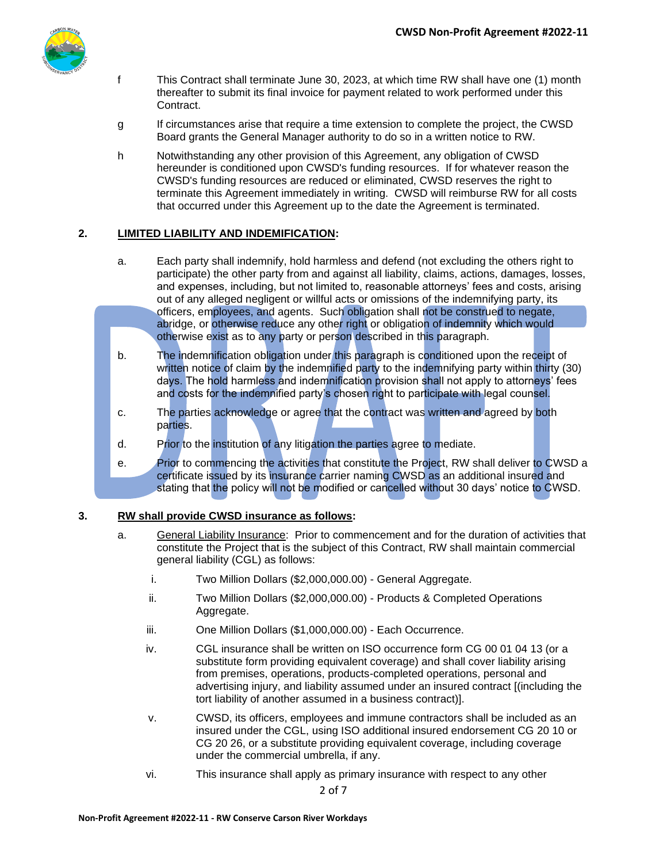

- f This Contract shall terminate June 30, 2023, at which time RW shall have one (1) month thereafter to submit its final invoice for payment related to work performed under this Contract.
- g If circumstances arise that require a time extension to complete the project, the CWSD Board grants the General Manager authority to do so in a written notice to RW.
- h Notwithstanding any other provision of this Agreement, any obligation of CWSD hereunder is conditioned upon CWSD's funding resources. If for whatever reason the CWSD's funding resources are reduced or eliminated, CWSD reserves the right to terminate this Agreement immediately in writing. CWSD will reimburse RW for all costs that occurred under this Agreement up to the date the Agreement is terminated.

#### **2. LIMITED LIABILITY AND INDEMIFICATION:**

- a. Each party shall indemnify, hold harmless and defend (not excluding the others right to participate) the other party from and against all liability, claims, actions, damages, losses, and expenses, including, but not limited to, reasonable attorneys' fees and costs, arising out of any alleged negligent or willful acts or omissions of the indemnifying party, its officers, employees, and agents. Such obligation shall not be construed to negate, abridge, or otherwise reduce any other right or obligation of indemnity which would otherwise exist as to any party or person described in this paragraph.
- b. The indemnification obligation under this paragraph is conditioned upon the receipt of written notice of claim by the indemnified party to the indemnifying party within thirty (30) days. The hold harmless and indemnification provision shall not apply to attorneys' fees and costs for the indemnified party's chosen right to participate with legal counsel.
- c. The parties acknowledge or agree that the contract was written and agreed by both parties.
- d. Prior to the institution of any litigation the parties agree to mediate.
- e. Prior to commencing the activities that constitute the Project, RW shall deliver to CWSD a certificate issued by its insurance carrier naming CWSD as an additional insured and stating that the policy will not be modified or cancelled without 30 days' notice to CWSD.

#### **3. RW shall provide CWSD insurance as follows:**

- a. General Liability Insurance: Prior to commencement and for the duration of activities that constitute the Project that is the subject of this Contract, RW shall maintain commercial general liability (CGL) as follows:
	- i. Two Million Dollars (\$2,000,000.00) General Aggregate.
	- ii. Two Million Dollars (\$2,000,000.00) Products & Completed Operations Aggregate.
	- iii. One Million Dollars (\$1,000,000.00) Each Occurrence.
	- iv. CGL insurance shall be written on ISO occurrence form CG 00 01 04 13 (or a substitute form providing equivalent coverage) and shall cover liability arising from premises, operations, products-completed operations, personal and advertising injury, and liability assumed under an insured contract [(including the tort liability of another assumed in a business contract)].
	- v. CWSD, its officers, employees and immune contractors shall be included as an insured under the CGL, using ISO additional insured endorsement CG 20 10 or CG 20 26, or a substitute providing equivalent coverage, including coverage under the commercial umbrella, if any.
	- vi. This insurance shall apply as primary insurance with respect to any other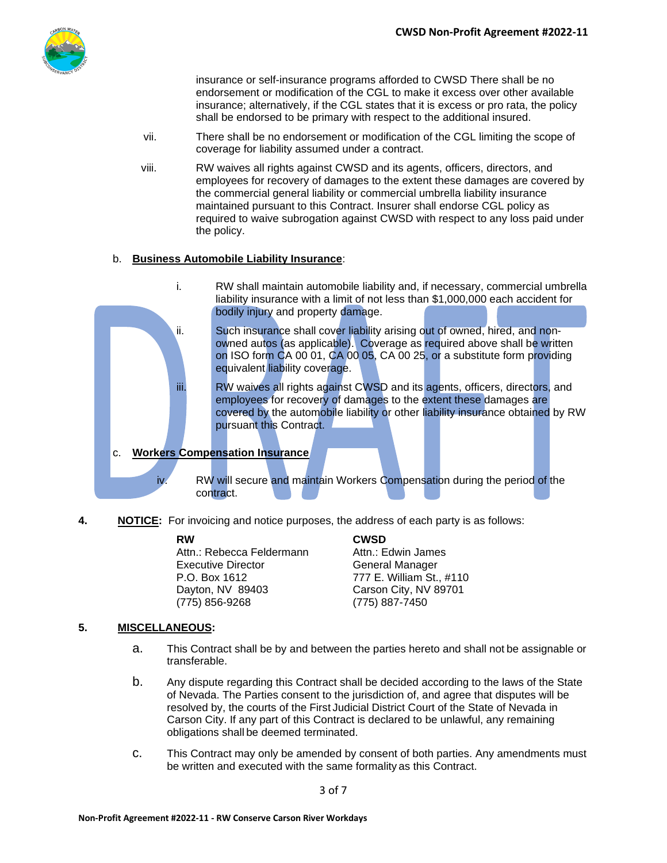

insurance or self-insurance programs afforded to CWSD There shall be no endorsement or modification of the CGL to make it excess over other available insurance; alternatively, if the CGL states that it is excess or pro rata, the policy shall be endorsed to be primary with respect to the additional insured.

- vii. There shall be no endorsement or modification of the CGL limiting the scope of coverage for liability assumed under a contract.
- viii. RW waives all rights against CWSD and its agents, officers, directors, and employees for recovery of damages to the extent these damages are covered by the commercial general liability or commercial umbrella liability insurance maintained pursuant to this Contract. Insurer shall endorse CGL policy as required to waive subrogation against CWSD with respect to any loss paid under the policy.

#### b. **Business Automobile Liability Insurance**:



**4. NOTICE:** For invoicing and notice purposes, the address of each party is as follows:

Attn.: Rebecca Feldermann Attn.: Edwin James Executive Director **General Manager** P.O. Box 1612 777 E. William St., #110 Dayton, NV 89403 Carson City, NV 89701 (775) 856-9268 (775) 887-7450

**RW CWSD**

#### **5. MISCELLANEOUS:**

- a. This Contract shall be by and between the parties hereto and shall not be assignable or transferable.
- b. Any dispute regarding this Contract shall be decided according to the laws of the State of Nevada. The Parties consent to the jurisdiction of, and agree that disputes will be resolved by, the courts of the First Judicial District Court of the State of Nevada in Carson City. If any part of this Contract is declared to be unlawful, any remaining obligations shall be deemed terminated.
- c. This Contract may only be amended by consent of both parties. Any amendments must be written and executed with the same formality as this Contract.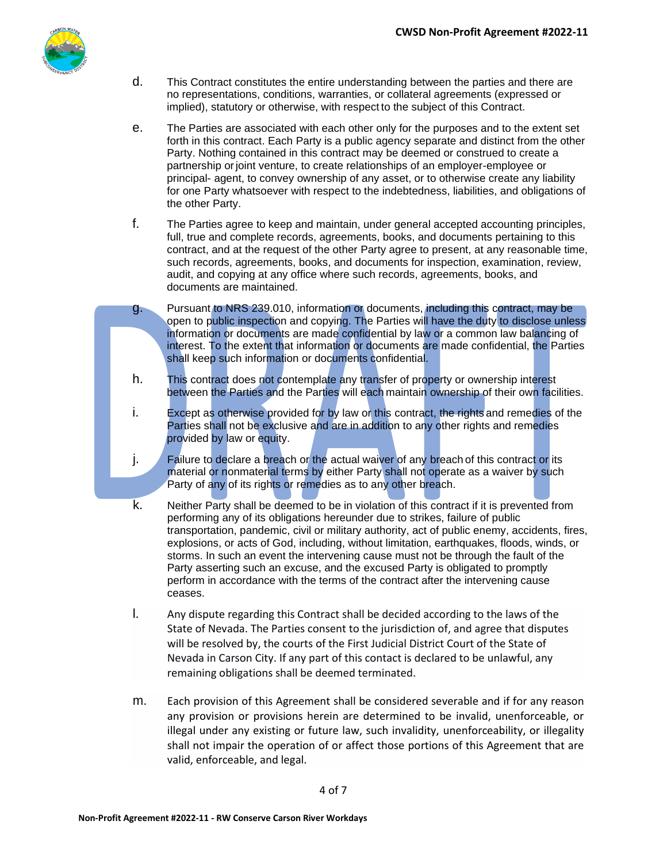

- d. This Contract constitutes the entire understanding between the parties and there are no representations, conditions, warranties, or collateral agreements (expressed or implied), statutory or otherwise, with respect to the subject of this Contract.
- e. The Parties are associated with each other only for the purposes and to the extent set forth in this contract. Each Party is a public agency separate and distinct from the other Party. Nothing contained in this contract may be deemed or construed to create a partnership orjoint venture, to create relationships of an employer-employee or principal- agent, to convey ownership of any asset, or to otherwise create any liability for one Party whatsoever with respect to the indebtedness, liabilities, and obligations of the other Party.
- f. The Parties agree to keep and maintain, under general accepted accounting principles, full, true and complete records, agreements, books, and documents pertaining to this contract, and at the request of the other Party agree to present, at any reasonable time, such records, agreements, books, and documents for inspection, examination, review, audit, and copying at any office where such records, agreements, books, and documents are maintained.
- g. Pursuant to NRS 239.010, information or documents, including this contract, may be open to public inspection and copying. The Parties will have the duty to disclose unless information or documents are made confidential by law or a common law balancing of interest. To the extent that information or documents are made confidential, the Parties shall keep such information or documents confidential.
- h. This contract does not contemplate any transfer of property or ownership interest between the Parties and the Parties will each maintain ownership of their own facilities.
- i. Except as otherwise provided for by law or this contract, the rights and remedies of the Parties shall not be exclusive and are in addition to any other rights and remedies provided by law or equity.
- j. Failure to declare a breach or the actual waiver of any breach of this contract or its material or nonmaterial terms by either Party shall not operate as a waiver by such Party of any of its rights or remedies as to any other breach.
- k. Neither Party shall be deemed to be in violation of this contract if it is prevented from performing any of its obligations hereunder due to strikes, failure of public transportation, pandemic, civil or military authority, act of public enemy, accidents, fires, explosions, or acts of God, including, without limitation, earthquakes, floods, winds, or storms. In such an event the intervening cause must not be through the fault of the Party asserting such an excuse, and the excused Party is obligated to promptly perform in accordance with the terms of the contract after the intervening cause ceases.
- l. Any dispute regarding this Contract shall be decided according to the laws of the State of Nevada. The Parties consent to the jurisdiction of, and agree that disputes will be resolved by, the courts of the First Judicial District Court of the State of Nevada in Carson City. If any part of this contact is declared to be unlawful, any remaining obligations shall be deemed terminated.
- m. Each provision of this Agreement shall be considered severable and if for any reason any provision or provisions herein are determined to be invalid, unenforceable, or illegal under any existing or future law, such invalidity, unenforceability, or illegality shall not impair the operation of or affect those portions of this Agreement that are valid, enforceable, and legal.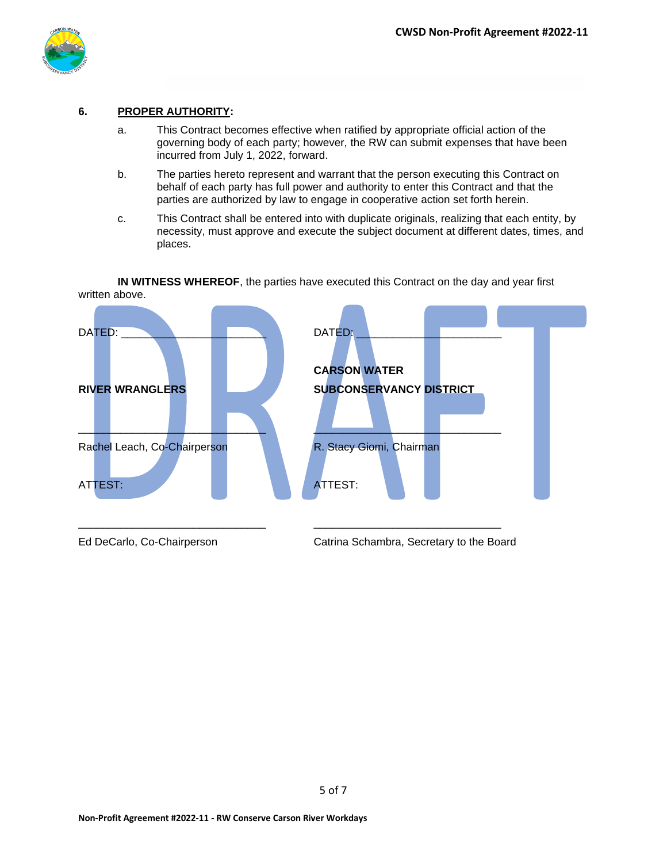

#### **6. PROPER AUTHORITY:**

- a. This Contract becomes effective when ratified by appropriate official action of the governing body of each party; however, the RW can submit expenses that have been incurred from July 1, 2022, forward.
- b. The parties hereto represent and warrant that the person executing this Contract on behalf of each party has full power and authority to enter this Contract and that the parties are authorized by law to engage in cooperative action set forth herein.
- c. This Contract shall be entered into with duplicate originals, realizing that each entity, by necessity, must approve and execute the subject document at different dates, times, and places.

**IN WITNESS WHEREOF**, the parties have executed this Contract on the day and year first written above.



Ed DeCarlo, Co-Chairperson Catrina Schambra, Secretary to the Board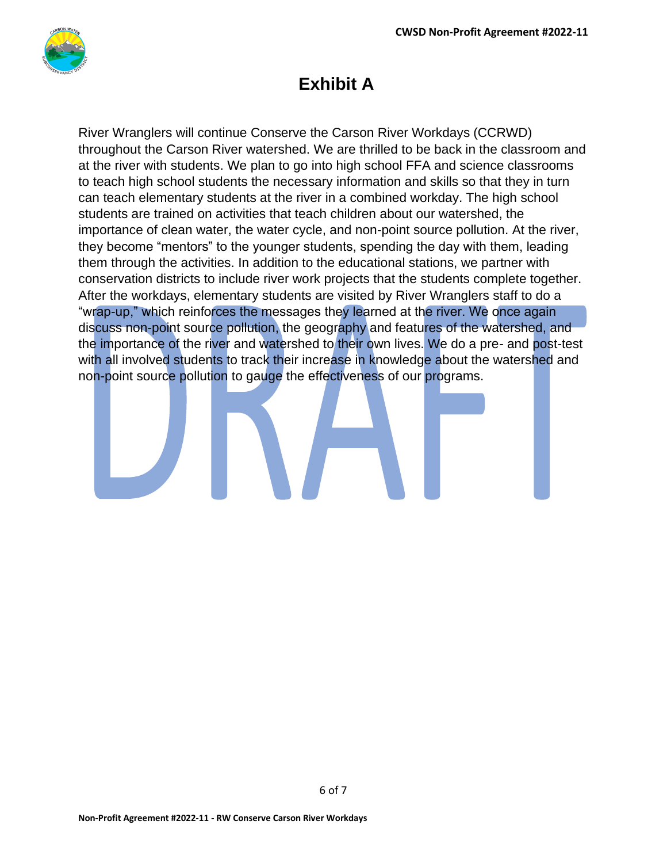

## **Exhibit A**

River Wranglers will continue Conserve the Carson River Workdays (CCRWD) throughout the Carson River watershed. We are thrilled to be back in the classroom and at the river with students. We plan to go into high school FFA and science classrooms to teach high school students the necessary information and skills so that they in turn can teach elementary students at the river in a combined workday. The high school students are trained on activities that teach children about our watershed, the importance of clean water, the water cycle, and non-point source pollution. At the river, they become "mentors" to the younger students, spending the day with them, leading them through the activities. In addition to the educational stations, we partner with conservation districts to include river work projects that the students complete together. After the workdays, elementary students are visited by River Wranglers staff to do a "wrap-up," which reinforces the messages they learned at the river. We once again discuss non-point source pollution, the geography and features of the watershed, and the importance of the river and watershed to their own lives. We do a pre- and post-test with all involved students to track their increase in knowledge about the watershed and non-point source pollution to gauge the effectiveness of our programs.